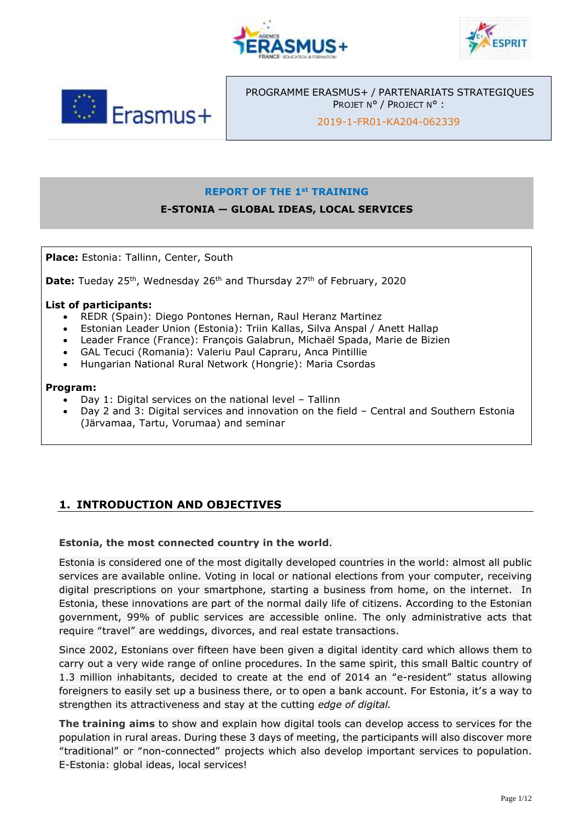





PROGRAMME ERASMUS+ / PARTENARIATS STRATEGIQUES PROJET N° / PROJECT N° :

2019-1-FR01-KA204-062339

#### **REPORT OF THE 1st TRAINING**

## **E-STONIA — GLOBAL IDEAS, LOCAL SERVICES**

**Place:** Estonia: Tallinn, Center, South

**Date:** Tueday 25<sup>th</sup>, Wednesday 26<sup>th</sup> and Thursday 27<sup>th</sup> of February, 2020

#### **List of participants:**

- REDR (Spain): Diego Pontones Hernan, Raul Heranz Martinez
- Estonian Leader Union (Estonia): Triin Kallas, Silva Anspal / Anett Hallap
- Leader France (France): François Galabrun, Michaël Spada, Marie de Bizien
- GAL Tecuci (Romania): Valeriu Paul Capraru, Anca Pintillie
- Hungarian National Rural Network (Hongrie): Maria Csordas

#### **Program:**

- Day 1: Digital services on the national level Tallinn
- Day 2 and 3: Digital services and innovation on the field Central and Southern Estonia (Järvamaa, Tartu, Vorumaa) and seminar

## **1. INTRODUCTION AND OBJECTIVES**

#### **Estonia, the most connected country in the world**.

Estonia is considered one of the most digitally developed countries in the world: almost all public services are available online. Voting in local or national elections from your computer, receiving digital prescriptions on your smartphone, starting a business from home, on the internet. In Estonia, these innovations are part of the normal daily life of citizens. According to the Estonian government, 99% of public services are accessible online. The only administrative acts that require "travel" are weddings, divorces, and real estate transactions.

Since 2002, Estonians over fifteen have been given a digital identity card which allows them to carry out a very wide range of online procedures. In the same spirit, this small Baltic country of 1.3 million inhabitants, decided to create at the end of 2014 an "e-resident" status allowing foreigners to easily set up a business there, or to open a bank account. For Estonia, it's a way to strengthen its attractiveness and stay at the cutting *edge of digital.*

**The training aims** to show and explain how digital tools can develop access to services for the population in rural areas. During these 3 days of meeting, the participants will also discover more "traditional" or "non-connected" projects which also develop important services to population. E-Estonia: global ideas, local services!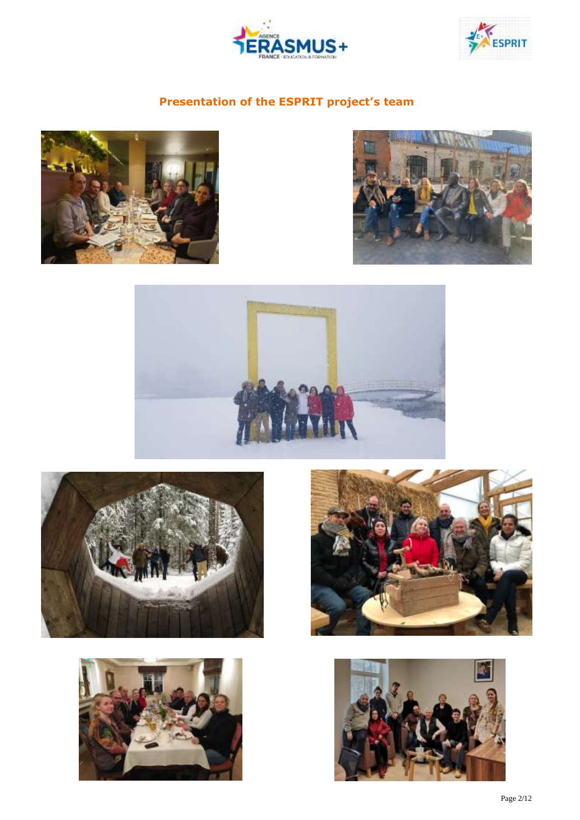



# **Presentation of the ESPRIT project's team**













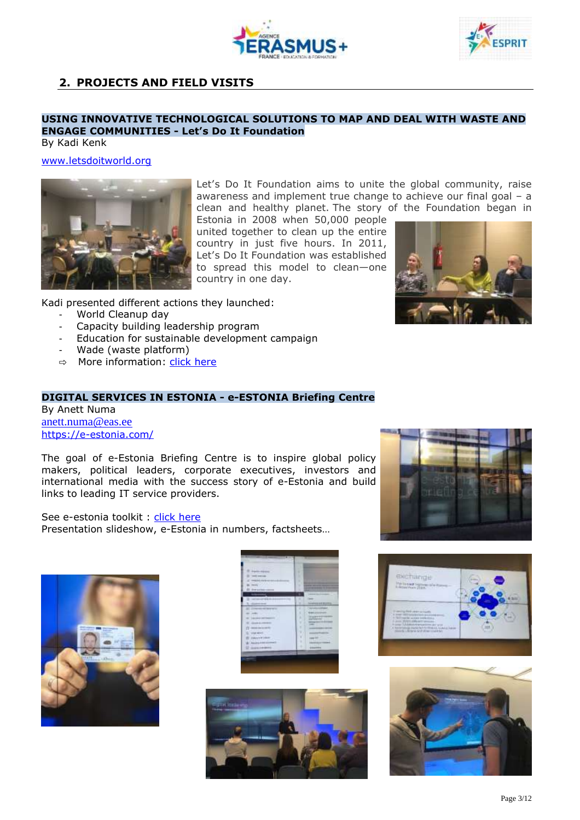



## **2. PROJECTS AND FIELD VISITS**

### **USING INNOVATIVE TECHNOLOGICAL SOLUTIONS TO MAP AND DEAL WITH WASTE AND ENGAGE COMMUNITIES - Let's Do It Foundation**

By Kadi Kenk

#### [www.letsdoitworld.org](http://www.letsdoitworld.org/)



Let's Do It Foundation aims to unite the global community, raise awareness and implement true change to achieve our final goal – a clean and healthy planet. The story of the Foundation began in

Estonia in 2008 when 50,000 people united together to clean up the entire country in just five hours. In 2011, Let's Do It Foundation was established to spread this model to clean—one country in one day.

Kadi presented different actions they launched:

- World Cleanup day
- Capacity building leadership program
- Education for sustainable development campaign
- Wade (waste platform)
- ⇨ More information: click [here](https://drive.google.com/drive/folders/1NLndtJzPAViQILd4ijbN6XrvVeGcPzml)

#### **DIGITAL SERVICES IN ESTONIA - e-ESTONIA Briefing Centre** By Anett Numa

[anett.numa@eas.ee](mailto:anett.numa@eas.ee) <https://e-estonia.com/>

The goal of e-Estonia Briefing Centre is to inspire global policy makers, political leaders, corporate executives, investors and international media with the success story of e-Estonia and build links to leading IT service providers.

See e-estonia toolkit : click [here](https://e-estonia.com/e-estonia-toolkit/)

Presentation slideshow, e-Estonia in numbers, factsheets…



| <b>Advised</b>                  |                                                                                                                                     |
|---------------------------------|-------------------------------------------------------------------------------------------------------------------------------------|
| <b>CONTRACTOR</b>               | ı<br>١                                                                                                                              |
| <b>Bell-Karla accepted</b>      | ٠                                                                                                                                   |
| <b>There's</b>                  | ٠                                                                                                                                   |
| -Shake guardens-response        | ٠                                                                                                                                   |
|                                 | ٠<br>Lease standard                                                                                                                 |
|                                 | ٠<br><b>Design Co</b>                                                                                                               |
|                                 | ۰<br>hospitals at the result.                                                                                                       |
| <b>CONTRACTOR</b>               | ٠<br><b>TOTAL COMMAND</b><br>ST 14.7                                                                                                |
| <b>SECTION</b>                  | ١<br><b><i><u>SAN CONTRACTOR</u></i></b><br><b><i>All All And All A</i></b><br>--                                                   |
| 140 British St. Toyota          | ٠<br><b>CONTRACTOR</b>                                                                                                              |
| <b>GRAND &amp; CREWELL</b>      | ٠<br>_<br>$\frac{1}{2} \left( \frac{1}{2} \right) \left( \frac{1}{2} \right) \left( \frac{1}{2} \right) \left( \frac{1}{2} \right)$ |
| <b>MONTHSTER</b>                | ۲<br>----                                                                                                                           |
| stat and i                      | v.<br>٠                                                                                                                             |
| <b>Detailed Information</b>     | came for<br>T. Co<br>٠                                                                                                              |
| <b>March E. Edition Comment</b> | <b>ISLANDS</b><br>m.<br>٠                                                                                                           |
| GANG FAR BRATE -                | <b><i>DESCRIPTIONS</i></b>                                                                                                          |
|                                 |                                                                                                                                     |









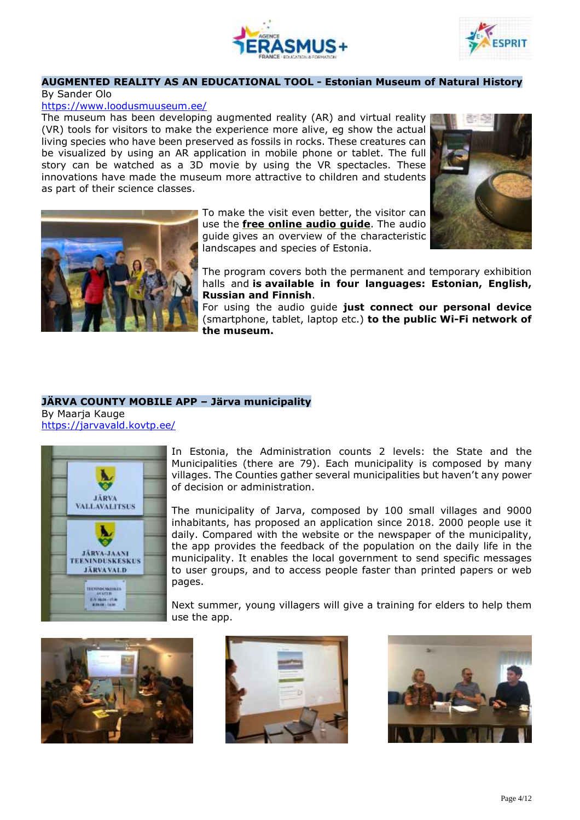



#### **AUGMENTED REALITY AS AN EDUCATIONAL TOOL - Estonian Museum of Natural History**

#### By Sander Olo

#### <https://www.loodusmuuseum.ee/>

The museum has been developing augmented reality (AR) and virtual reality (VR) tools for visitors to make the experience more alive, eg show the actual living species who have been preserved as fossils in rocks. These creatures can be visualized by using an AR application in mobile phone or tablet. The full story can be watched as a 3D movie by using the VR spectacles. These innovations have made the museum more attractive to children and students as part of their science classes.



To make the visit even better, the visitor can use the **free [online](http://loodusmuuseum.ee/audio/en) audio guide**. The audio guide gives an overview of the characteristic landscapes and species of Estonia.



The program covers both the permanent and temporary exhibition halls and **is available in four languages: Estonian, English, Russian and Finnish**.

For using the audio guide **just connect our personal device** (smartphone, tablet, laptop etc.) **to the public Wi-Fi network of the museum.**

## **JÄRVA COUNTY MOBILE APP – Järva municipality**

By Maarja Kauge <https://jarvavald.kovtp.ee/>



In Estonia, the Administration counts 2 levels: the State and the Municipalities (there are 79). Each municipality is composed by many villages. The Counties gather several municipalities but haven't any power of decision or administration.

The municipality of Jarva, composed by 100 small villages and 9000 inhabitants, has proposed an application since 2018. 2000 people use it daily. Compared with the website or the newspaper of the municipality, the app provides the feedback of the population on the daily life in the municipality. It enables the local government to send specific messages to user groups, and to access people faster than printed papers or web pages.

Next summer, young villagers will give a training for elders to help them use the app.





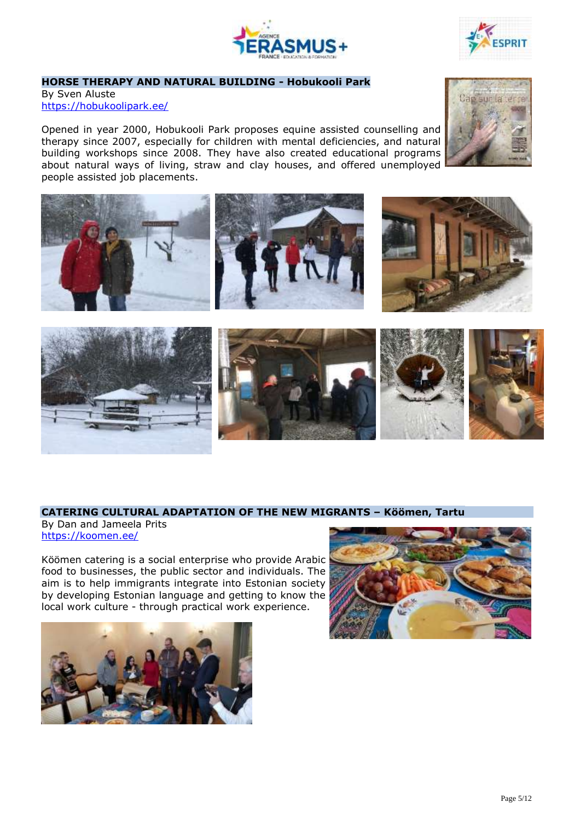



### **HORSE THERAPY AND NATURAL BUILDING - Hobukooli Park**

By Sven Aluste <https://hobukoolipark.ee/>

Opened in year 2000, Hobukooli Park proposes equine assisted counselling and therapy since 2007, especially for children with mental deficiencies, and natural building workshops since 2008. They have also created educational programs about natural ways of living, straw and clay houses, and offered unemployed people assisted job placements.



#### **CATERING CULTURAL ADAPTATION OF THE NEW MIGRANTS – Köömen, Tartu**

By Dan and Jameela Prits <https://koomen.ee/>

Köömen catering is a social enterprise who provide Arabic food to businesses, the public sector and individuals. The aim is to help immigrants integrate into Estonian society by developing Estonian language and getting to know the local work culture - through practical work experience.





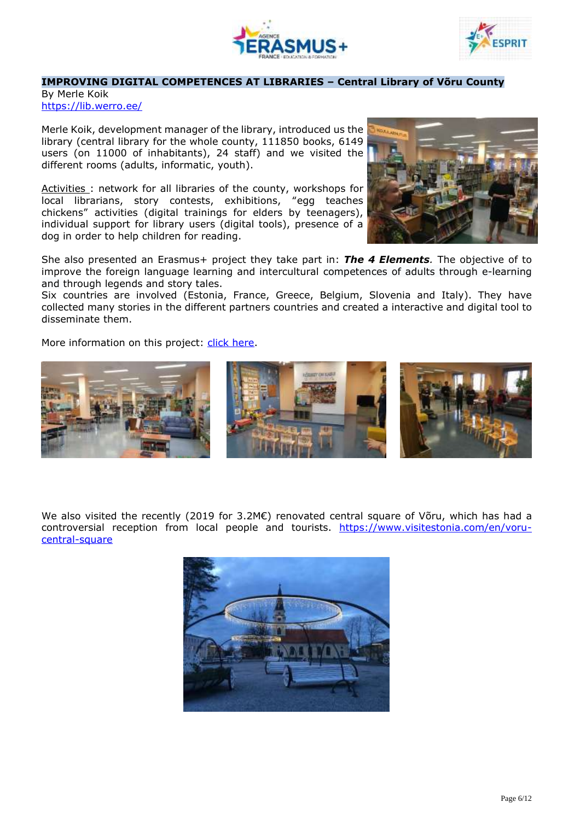



#### **IMPROVING DIGITAL COMPETENCES AT LIBRARIES – Central Library of Võru County**

By Merle Koik <https://lib.werro.ee/>

Merle Koik, development manager of the library, introduced us the library (central library for the whole county, 111850 books, 6149 users (on 11000 of inhabitants), 24 staff) and we visited the different rooms (adults, informatic, youth).

Activities: network for all libraries of the county, workshops for local librarians, story contests, exhibitions, "egg teaches chickens" activities (digital trainings for elders by teenagers), individual support for library users (digital tools), presence of a dog in order to help children for reading.



Six countries are involved (Estonia, France, Greece, Belgium, Slovenia and Italy). They have collected many stories in the different partners countries and created a interactive and digital tool to disseminate them.

More information on this project: click [here.](http://www.4-elements.eu/en)



We also visited the recently (2019 for 3.2M€) renovated central square of Võru, which has had a controversial reception from local people and tourists. [https://www.visitestonia.com/en/voru](https://www.visitestonia.com/en/voru-central-square)[central-square](https://www.visitestonia.com/en/voru-central-square)



Page 6/12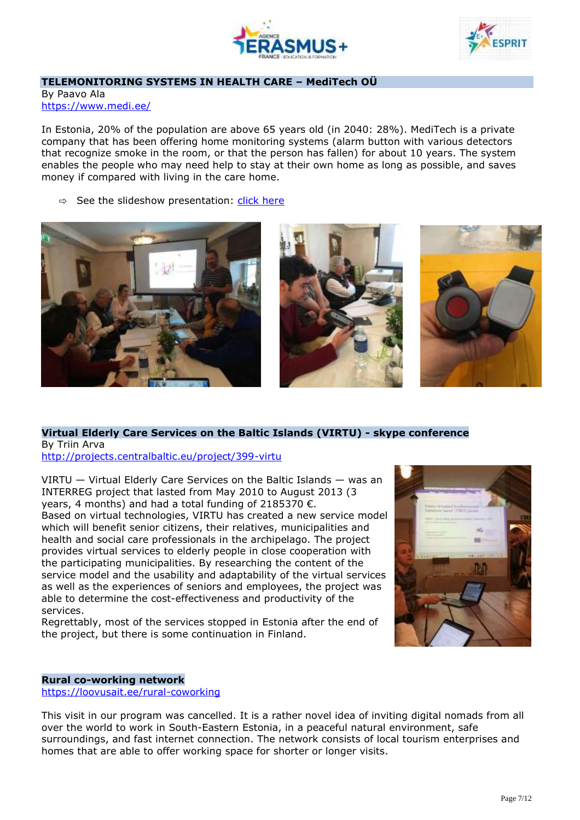



#### **TELEMONITORING SYSTEMS IN HEALTH CARE – MediTech OÜ**

By Paavo Ala <https://www.medi.ee/>

In Estonia, 20% of the population are above 65 years old (in 2040: 28%). MediTech is a private company that has been offering home monitoring systems (alarm button with various detectors that recognize smoke in the room, or that the person has fallen) for about 10 years. The system enables the people who may need help to stay at their own home as long as possible, and saves money if compared with living in the care home.

 $\Rightarrow$  See the slideshow presentation: click [here](https://drive.google.com/drive/folders/1NLndtJzPAViQILd4ijbN6XrvVeGcPzml)







## **Virtual Elderly Care Services on the Baltic Islands (VIRTU) - skype conference** By Triin Arva

<http://projects.centralbaltic.eu/project/399-virtu>

VIRTU — Virtual Elderly Care Services on the Baltic Islands — was an INTERREG project that lasted from May 2010 to August 2013 (3 years, 4 months) and had a total funding of 2185370  $\epsilon$ . Based on virtual technologies, VIRTU has created a new service model which will benefit senior citizens, their relatives, municipalities and health and social care professionals in the archipelago. The project provides virtual services to elderly people in close cooperation with the participating municipalities. By researching the content of the service model and the usability and adaptability of the virtual services as well as the experiences of seniors and employees, the project was able to determine the cost-effectiveness and productivity of the services.

Regrettably, most of the services stopped in Estonia after the end of the project, but there is some continuation in Finland.



#### **Rural co-working network**

<https://loovusait.ee/rural-coworking>

This visit in our program was cancelled. It is a rather novel idea of inviting digital nomads from all over the world to work in South-Eastern Estonia, in a peaceful natural environment, safe surroundings, and fast internet connection. The network consists of local tourism enterprises and homes that are able to offer working space for shorter or longer visits.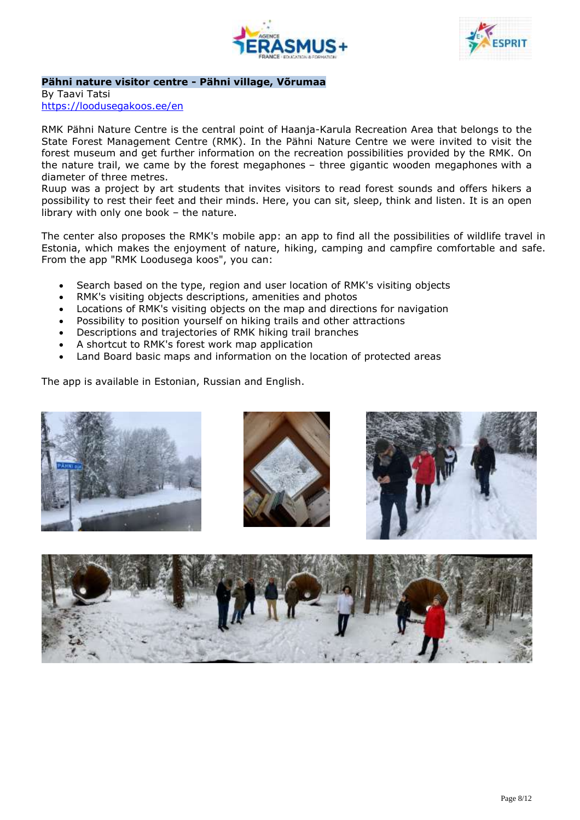



#### **Pähni nature visitor centre - Pähni village, Võrumaa**

By Taavi Tatsi <https://loodusegakoos.ee/en>

RMK Pähni Nature Centre is the central point of Haanja-Karula Recreation Area that belongs to the State Forest Management Centre (RMK). In the Pähni Nature Centre we were invited to visit the forest museum and get further information on the recreation possibilities provided by the RMK. On the nature trail, we came by the forest megaphones – three gigantic wooden megaphones with a diameter of three metres.

Ruup was a project by art students that invites visitors to read forest sounds and offers hikers a possibility to rest their feet and their minds. Here, you can sit, sleep, think and listen. It is an open library with only one book – the nature.

The center also proposes the RMK's mobile app: an app to find all the possibilities of wildlife travel in Estonia, which makes the enjoyment of nature, hiking, camping and campfire comfortable and safe. From the app "RMK Loodusega koos", you can:

- Search based on the type, region and user location of RMK's visiting objects
- RMK's visiting objects descriptions, amenities and photos
- Locations of RMK's visiting objects on the map and directions for navigation
- Possibility to position yourself on hiking trails and other attractions
- Descriptions and trajectories of RMK hiking trail branches
- A shortcut to RMK's forest work map application
- Land Board basic maps and information on the location of protected areas

The app is available in Estonian, Russian and English.

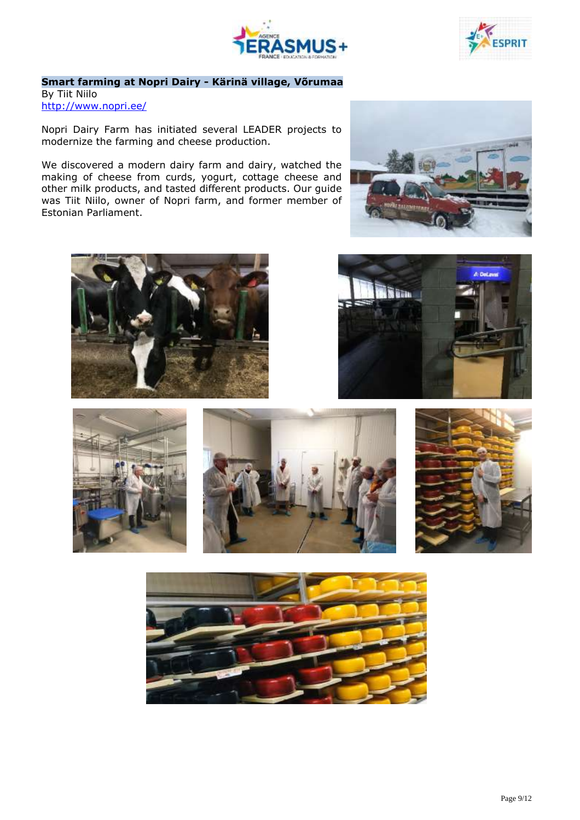



## **Smart farming at Nopri Dairy - Kärinä village, Võrumaa**

By Tiit Niilo <http://www.nopri.ee/>

Nopri Dairy Farm has initiated several LEADER projects to modernize the farming and cheese production.

We discovered a modern dairy farm and dairy, watched the making of cheese from curds, yogurt, cottage cheese and other milk products, and tasted different products. Our guide was Tiit Niilo, owner of Nopri farm, and former member of Estonian Parliament.













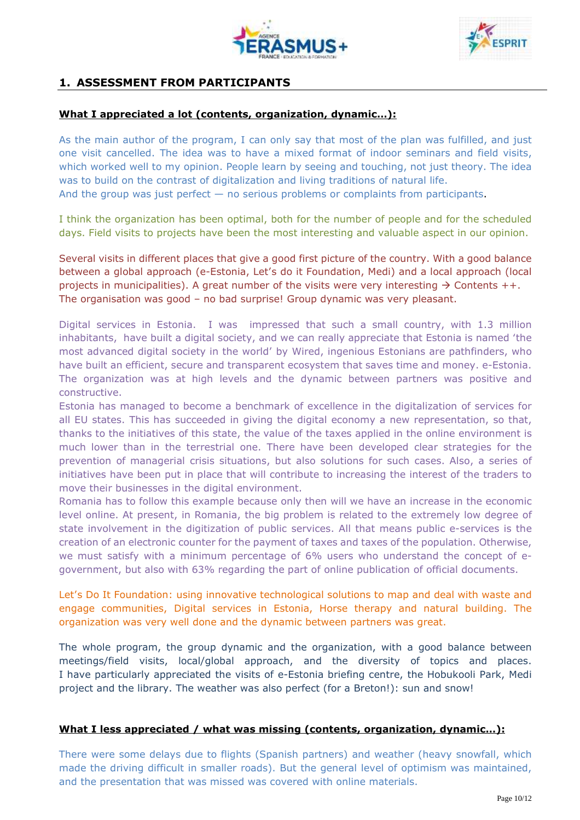



## **1. ASSESSMENT FROM PARTICIPANTS**

## **What I appreciated a lot (contents, organization, dynamic…):**

As the main author of the program, I can only say that most of the plan was fulfilled, and just one visit cancelled. The idea was to have a mixed format of indoor seminars and field visits, which worked well to my opinion. People learn by seeing and touching, not just theory. The idea was to build on the contrast of digitalization and living traditions of natural life. And the group was just perfect — no serious problems or complaints from participants.

I think the organization has been optimal, both for the number of people and for the scheduled days. Field visits to projects have been the most interesting and valuable aspect in our opinion.

Several visits in different places that give a good first picture of the country. With a good balance between a global approach (e-Estonia, Let's do it Foundation, Medi) and a local approach (local projects in municipalities). A great number of the visits were very interesting  $\rightarrow$  Contents ++. The organisation was good – no bad surprise! Group dynamic was very pleasant.

Digital services in Estonia. I was impressed that such a small country, with 1.3 million inhabitants, have built a digital society, and we can really appreciate that Estonia is named 'the most advanced digital society in the world' by Wired, ingenious Estonians are pathfinders, who have built an efficient, secure and transparent ecosystem that saves time and money. e-Estonia. The organization was at high levels and the dynamic between partners was positive and constructive.

Estonia has managed to become a benchmark of excellence in the digitalization of services for all EU states. This has succeeded in giving the digital economy a new representation, so that, thanks to the initiatives of this state, the value of the taxes applied in the online environment is much lower than in the terrestrial one. There have been developed clear strategies for the prevention of managerial crisis situations, but also solutions for such cases. Also, a series of initiatives have been put in place that will contribute to increasing the interest of the traders to move their businesses in the digital environment.

Romania has to follow this example because only then will we have an increase in the economic level online. At present, in Romania, the big problem is related to the extremely low degree of state involvement in the digitization of public services. All that means public e-services is the creation of an electronic counter for the payment of taxes and taxes of the population. Otherwise, we must satisfy with a minimum percentage of 6% users who understand the concept of egovernment, but also with 63% regarding the part of online publication of official documents.

Let's Do It Foundation: using innovative technological solutions to map and deal with waste and engage communities, Digital services in Estonia, Horse therapy and natural building. The organization was very well done and the dynamic between partners was great.

The whole program, the group dynamic and the organization, with a good balance between meetings/field visits, local/global approach, and the diversity of topics and places. I have particularly appreciated the visits of e-Estonia briefing centre, the Hobukooli Park, Medi project and the library. The weather was also perfect (for a Breton!): sun and snow!

## **What I less appreciated / what was missing (contents, organization, dynamic…):**

There were some delays due to flights (Spanish partners) and weather (heavy snowfall, which made the driving difficult in smaller roads). But the general level of optimism was maintained, and the presentation that was missed was covered with online materials.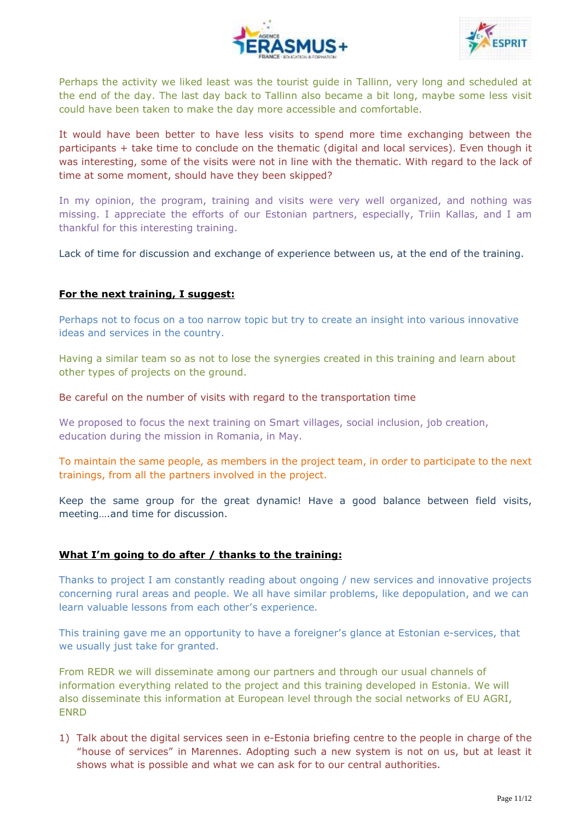



Perhaps the activity we liked least was the tourist guide in Tallinn, very long and scheduled at the end of the day. The last day back to Tallinn also became a bit long, maybe some less visit could have been taken to make the day more accessible and comfortable.

It would have been better to have less visits to spend more time exchanging between the participants + take time to conclude on the thematic (digital and local services). Even though it was interesting, some of the visits were not in line with the thematic. With regard to the lack of time at some moment, should have they been skipped?

In my opinion, the program, training and visits were very well organized, and nothing was missing. I appreciate the efforts of our Estonian partners, especially, Triin Kallas, and I am thankful for this interesting training.

Lack of time for discussion and exchange of experience between us, at the end of the training.

## **For the next training, I suggest:**

Perhaps not to focus on a too narrow topic but try to create an insight into various innovative ideas and services in the country.

Having a similar team so as not to lose the synergies created in this training and learn about other types of projects on the ground.

Be careful on the number of visits with regard to the transportation time

We proposed to focus the next training on Smart villages, social inclusion, job creation, education during the mission in Romania, in May.

To maintain the same people, as members in the project team, in order to participate to the next trainings, from all the partners involved in the project.

Keep the same group for the great dynamic! Have a good balance between field visits, meeting….and time for discussion.

#### **What I'm going to do after / thanks to the training:**

Thanks to project I am constantly reading about ongoing / new services and innovative projects concerning rural areas and people. We all have similar problems, like depopulation, and we can learn valuable lessons from each other's experience.

This training gave me an opportunity to have a foreigner's glance at Estonian e-services, that we usually just take for granted.

From REDR we will disseminate among our partners and through our usual channels of information everything related to the project and this training developed in Estonia. We will also disseminate this information at European level through the social networks of EU AGRI, ENRD

1) Talk about the digital services seen in e-Estonia briefing centre to the people in charge of the "house of services" in Marennes. Adopting such a new system is not on us, but at least it shows what is possible and what we can ask for to our central authorities.